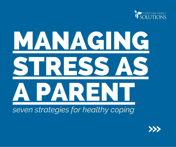



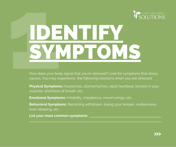

# IDENTIFY FOR TIPY<br>
1996 does your body signal that you're stressed? Look for symptoms the<br>
Physical Symptoms: Headaches, stomachaches, rapid heartbeat, tensic<br>
Physical Symptoms: Headaches, stomachaches, rapid heartbeat, tensic

How does your body signal that you're stressed? Look for symptoms that stress causes. You may experience the following reactions when you are stressed:

**Physical Symptoms:** Headaches, stomachaches, rapid heartbeat, tension in your muscles, shortness of breath, etc.

**Emotional Symptoms:** Irritability, impatience, mood swings, etc.

**Behavioral Symptoms:** Becoming withdrawn, losing your temper, restlessness, over-sleeping, etc.

**List your most common symptoms:**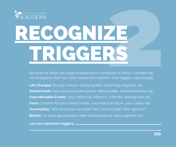

#### **ECOGNIZE** Provider and Separation Contract Contract Contract Contract Contract Contract Contract Contract Contract Contract Contract Contract Contract Contract Contract Contract Contract Contract Contract Contract Contract Contract TRIGGE.

Be aware of when you begin to experience symptoms of stress. Consider the circumstances that may have caused the reaction. Your triggers may include:

**Life Changes:** Buying a house, changing jobs, becoming pregnant, etc. **Environment:** Your son's loud video game, whiny toddler, cluttered kitchen, etc. **Unpredictable Events:** Your child's ear infection, a flat tire, leaking roof, etc.. **Fears:** Concern for your child's health, your financial future, your career, etc. **Uncertainty:** . Will school be canceled? Will I lose my job? Will I get sick? **Beliefs:** I'm not a good parent, other families have it more together, etc.

**List your personal triggers:**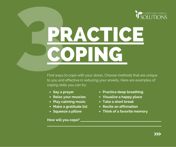

## **PRACTICE ZINI**

Find ways to cope with your stress. Choose methods that are unique to you and effective in reducing your anxiety. Here are examples of coping skills you can try:

- **Say a prayer**
- **Relax your muscles**
- **Play calming music**
- **Make a gratitude list**
- **Squeeze a pillow**

**How will you cope?**

- **Practice deep breathing**
- **Visualize a happy place**
- **Take a short break**
- **Recite an affirmation**
- **Think of a favorite memory**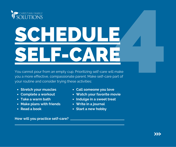

#### S **SEI** CHEDULE LF-C AR E4

You cannot pour from an empty cup. Prioritizing self-care will make you a more effective, compassionate parent. Make self-care part of your routine and consider trying these activities:

- **Stretch your muscles**
- **Complete a workout**
- **Take a warm bath**
- **Make plans with friends**
- **Read a book**
- **Call someone you love**
- **Watch your favorite movie**
- **Indulge in a sweet treat**
- **Write in a journal**
- **Start a new hobby**

**How will you practice self-care?**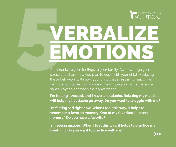

#### ERBALIZE EMOTIONS

Communicate your feelings to your family. Acknowledge your stress and share how you plan to cope with your child. Modeling these behaviors will show your child that stress is normal while demonstrating the importance of healthy coping skills. Here are some ways to approach the conversation:

**I'm feeling stressed, and I have a headache. Relaxing my muscles will help my headache go away. Do you want to snuggle with me?**

**I'm feeling sad right now. When I feel this way, it helps to remember a favorite memory. One of my favorites is \*insert memory.\* Do you have a favorite?**

**I'm feeling anxious. When I feel this way, it helps to practice my breathing. Do you want to practice with me?**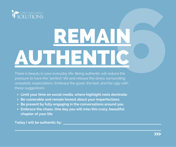

## REMAIN **POLUTIONS**<br>
SOLUTIONS<br>
There is beauty in your everyday life. Being authentic will reduce the<br>
pressure to have the "perfect" tife and release the stress surrounding<br>
these suggestions. Embrace the good, the bad, and the

There is beauty in your everyday life. Being authentic will reduce the pressure to have the "perfect" life and release the stress surrounding unrealistic expectations. Embrace the good, the bad, and the ugly with these suggestions:

- **Limit your time on social media, where highlight reels dominate**
- **Be vulnerable and remain honest about your imperfections**
- **Be present by fully engaging in the conversations around you**
- **Embrace the chaos. One day you will miss this crazy, beautiful chapter of your life**

**Today I will be authentic by:**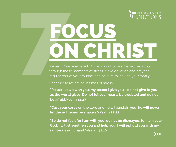

#### Remain Christ-centered. God is in control, are<br>through these moments of stress. Make dev<br>regular part of your routine, and be sure to in ON CHRIST

Remain Christ-centered. God is in control, and he will help you through these moments of stress. Make devotion and prayer a regular part of your routine, and be sure to include your family.

Scripture to reflect on in times of stress:

**"Peace I leave with you; my peace I give you. I do not give to you as the world gives. Do not let your hearts be troubled and do not be afraid."-John 14:27**

**"Cast your cares on the Lord and he will sustain you; he will never let the righteous be shaken."-Psalm 55:22**

**"So do not fear, for I am with you; do not be dismayed, for I am your God. I will strengthen you and help you; I will uphold you with my righteous right hand."-Isaiah 41:10**